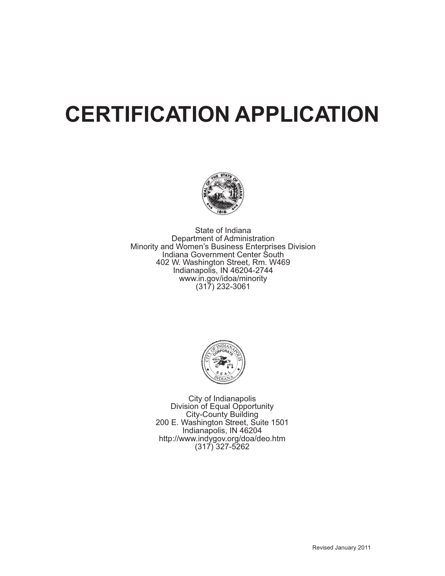# **CERTIFICATION APPLICATION**



State of Indiana Department of Administration Minority and Women's Business Enterprises Division Indiana Government Center South 402 W. Washington Street, Rm. W469 Indianapolis, IN 46204-2744 www.in.gov/idoa/minority  $(317)$  232-3061



City of Indianapolis Division of Equal Opportunity City-County Building<br>200 E. Washington Street, Suite 1501 Indianapolis, IN 46204 http://www.indygov.org/doa/deo.htm  $(317)$  327-5262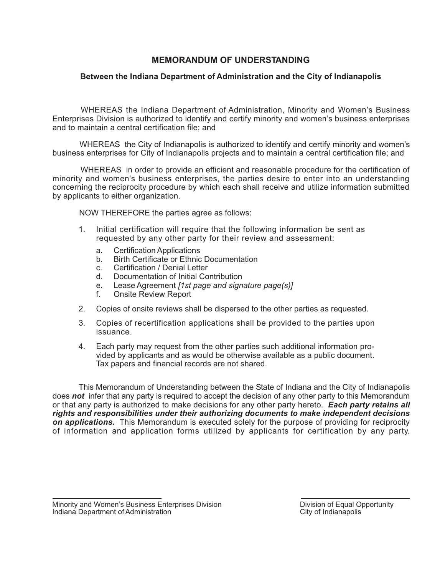### **MEMORANDUM OF UNDERSTANDING**

### Between the Indiana Department of Administration and the City of Indianapolis

WHEREAS the Indiana Department of Administration, Minority and Women's Business Enterprises Division is authorized to identify and certify minority and women's business enterprises and to maintain a central certification file; and

WHEREAS the City of Indianapolis is authorized to identify and certify minority and women's business enterprises for City of Indianapolis projects and to maintain a central certification file; and

WHEREAS in order to provide an efficient and reasonable procedure for the certification of minority and women's business enterprises, the parties desire to enter into an understanding concerning the reciprocity procedure by which each shall receive and utilize information submitted by applicants to either organization.

NOW THEREFORE the parties agree as follows:

- Initial certification will require that the following information be sent as 1. requested by any other party for their review and assessment:
	- a. **Certification Applications**
	- $h$ Birth Certificate or Ethnic Documentation
	- Certification / Denial Letter  $\mathbf{c}$
	- Documentation of Initial Contribution  $\mathsf{d}$
	- Lease Agreement [1st page and signature page(s)]  $e<sub>1</sub>$
	- $f$ **Onsite Review Report**
- $2.$ Copies of onsite reviews shall be dispersed to the other parties as requested.
- 3. Copies of recertification applications shall be provided to the parties upon issuance.
- $\overline{4}$ Each party may request from the other parties such additional information provided by applicants and as would be otherwise available as a public document. Tax papers and financial records are not shared.

This Memorandum of Understanding between the State of Indiana and the City of Indianapolis does not infer that any party is required to accept the decision of any other party to this Memorandum or that any party is authorized to make decisions for any other party hereto. Each party retains all rights and responsibilities under their authorizing documents to make independent decisions on applications. This Memorandum is executed solely for the purpose of providing for reciprocity of information and application forms utilized by applicants for certification by any party.

Minority and Women's Business Enterprises Division Indiana Department of Administration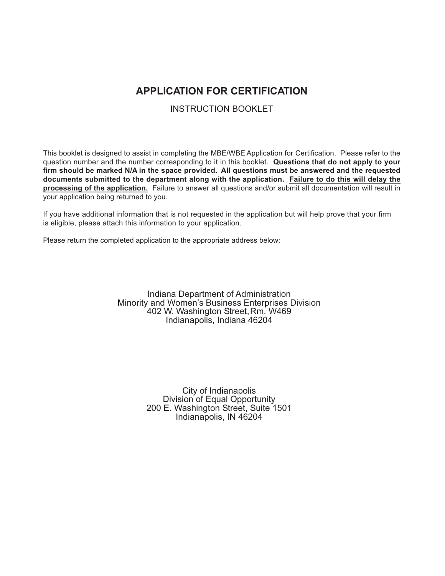## **APPLICATION FOR CERTIFICATION**

**INSTRUCTION BOOKLET** 

This booklet is designed to assist in completing the MBE/WBE Application for Certification. Please refer to the question number and the number corresponding to it in this booklet. Questions that do not apply to your firm should be marked N/A in the space provided. All questions must be answered and the requested documents submitted to the department along with the application. Failure to do this will delay the processing of the application. Failure to answer all questions and/or submit all documentation will result in your application being returned to you.

If you have additional information that is not requested in the application but will help prove that your firm is eligible, please attach this information to your application.

Please return the completed application to the appropriate address below:

Indiana Department of Administration Minority and Women's Business Enterprises Division 402 W. Washington Street, Rm. W469 Indianapolis, Indiana 46204

> City of Indianapolis Division of Equal Opportunity 200 E. Washington Street, Suite 1501 Indianapolis, IN 46204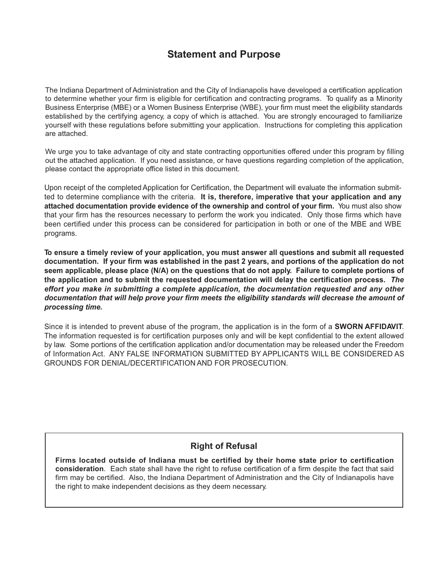## **Statement and Purpose**

The Indiana Department of Administration and the City of Indianapolis have developed a certification application to determine whether your firm is eligible for certification and contracting programs. To qualify as a Minority Business Enterprise (MBE) or a Women Business Enterprise (WBE), your firm must meet the eligibility standards established by the certifying agency, a copy of which is attached. You are strongly encouraged to familiarize yourself with these regulations before submitting your application. Instructions for completing this application are attached.

We urge you to take advantage of city and state contracting opportunities offered under this program by filling out the attached application. If you need assistance, or have questions regarding completion of the application, please contact the appropriate office listed in this document.

Upon receipt of the completed Application for Certification, the Department will evaluate the information submitted to determine compliance with the criteria. It is, therefore, imperative that your application and any attached documentation provide evidence of the ownership and control of your firm. You must also show that your firm has the resources necessary to perform the work you indicated. Only those firms which have been certified under this process can be considered for participation in both or one of the MBE and WBE programs.

To ensure a timely review of your application, you must answer all questions and submit all requested documentation. If your firm was established in the past 2 years, and portions of the application do not seem applicable, please place (N/A) on the questions that do not apply. Failure to complete portions of the application and to submit the requested documentation will delay the certification process. The effort you make in submitting a complete application, the documentation requested and any other documentation that will help prove your firm meets the eligibility standards will decrease the amount of processing time.

Since it is intended to prevent abuse of the program, the application is in the form of a **SWORN AFFIDAVIT**. The information requested is for certification purposes only and will be kept confidential to the extent allowed by law. Some portions of the certification application and/or documentation may be released under the Freedom of Information Act. ANY FALSE INFORMATION SUBMITTED BY APPLICANTS WILL BE CONSIDERED AS GROUNDS FOR DENIAL/DECERTIFICATION AND FOR PROSECUTION.

### **Right of Refusal**

Firms located outside of Indiana must be certified by their home state prior to certification consideration. Each state shall have the right to refuse certification of a firm despite the fact that said firm may be certified. Also, the Indiana Department of Administration and the City of Indianapolis have the right to make independent decisions as they deem necessary.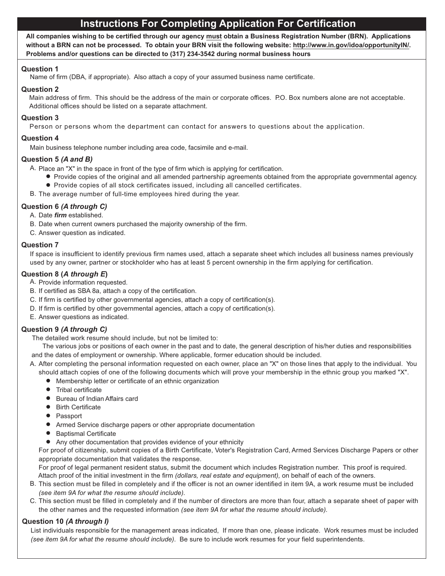## **Instructions For Completing Application For Certification**

All companies wishing to be certified through our agency must obtain a Business Registration Number (BRN). Applications without a BRN can not be processed. To obtain your BRN visit the following website: http://www.in.gov/idoa/opportunitylN/. Problems and/or questions can be directed to (317) 234-3542 during normal business hours

#### **Question 1**

Name of firm (DBA, if appropriate). Also attach a copy of your assumed business name certificate.

#### **Question 2**

Main address of firm. This should be the address of the main or corporate offices. P.O. Box numbers alone are not acceptable. Additional offices should be listed on a separate attachment.

#### **Question 3**

Person or persons whom the department can contact for answers to questions about the application.

#### Question 4

Main business telephone number including area code, facsimile and e-mail.

#### Question 5 (A and B)

A. Place an "X" in the space in front of the type of firm which is applying for certification.

- Provide copies of the original and all amended partnership agreements obtained from the appropriate governmental agency.
- Provide copies of all stock certificates issued, including all cancelled certificates.
- B. The average number of full-time employees hired during the year.

#### Question 6 (A through C)

- A. Date firm established.
- B. Date when current owners purchased the majority ownership of the firm.
- C. Answer question as indicated.

#### **Question 7**

If space is insufficient to identify previous firm names used, attach a separate sheet which includes all business names previously used by any owner, partner or stockholder who has at least 5 percent ownership in the firm applying for certification.

#### Question 8 (A through E)

- A. Provide information requested.
- B. If certified as SBA 8a, attach a copy of the certification.
- C. If firm is certified by other governmental agencies, attach a copy of certification(s).
- D. If firm is certified by other governmental agencies, attach a copy of certification(s).
- E. Answer questions as indicated.

#### Question 9 (A through C)

The detailed work resume should include, but not be limited to:

The various jobs or positions of each owner in the past and to date, the general description of his/her duties and responsibilities and the dates of employment or ownership. Where applicable, former education should be included.

- A. After completing the personal information requested on each owner, place an "X" on those lines that apply to the individual. You
- should attach copies of one of the following documents which will prove your membership in the ethnic group you marked "X".
	- Membership letter or certificate of an ethnic organization
	- Tribal certificate
	- Bureau of Indian Affairs card
	- Birth Certificate
	- Passport
	- Armed Service discharge papers or other appropriate documentation
	- Baptismal Certificate
	- Any other documentation that provides evidence of your ethnicity

For proof of citizenship, submit copies of a Birth Certificate, Voter's Registration Card, Armed Services Discharge Papers or other appropriate documentation that validates the response.

For proof of legal permanent resident status, submit the document which includes Registration number. This proof is required. Attach proof of the initial investment in the firm (dollars, real estate and equipment), on behalf of each of the owners.

- B. This section must be filled in completely and if the officer is not an owner identified in item 9A, a work resume must be included (see item 9A for what the resume should include).
- C. This section must be filled in completely and if the number of directors are more than four, attach a separate sheet of paper with the other names and the requested information (see item 9A for what the resume should include).

#### Question 10 (A through I)

List individuals responsible for the management areas indicated, If more than one, please indicate. Work resumes must be included (see item 9A for what the resume should include). Be sure to include work resumes for your field superintendents.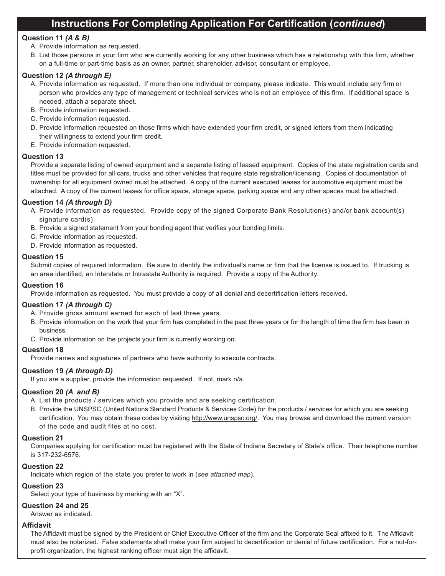## Instructions For Completing Application For Certification (continued)

#### Question 11 (A & B)

- A. Provide information as requested.
- B. List those persons in your firm who are currently working for any other business which has a relationship with this firm, whether on a full-time or part-time basis as an owner, partner, shareholder, advisor, consultant or employee.

#### Question 12 (A through E)

- A. Provide information as requested. If more than one individual or company, please indicate. This would include any firm or person who provides any type of management or technical services who is not an employee of this firm. If additional space is needed, attach a separate sheet.
- B. Provide information requested.
- C. Provide information requested.
- D. Provide information requested on those firms which have extended your firm credit, or signed letters from them indicating their willingness to extend your firm credit.
- E. Provide information requested.

#### **Question 13**

Provide a separate listing of owned equipment and a separate listing of leased equipment. Copies of the state registration cards and titles must be provided for all cars, trucks and other vehicles that require state registration/licensing. Copies of documentation of ownership for all equipment owned must be attached. A copy of the current executed leases for automotive equipment must be attached. A copy of the current leases for office space, storage space, parking space and any other spaces must be attached.

#### Question 14 (A through D)

- A. Provide information as requested. Provide copy of the signed Corporate Bank Resolution(s) and/or bank account(s) signature card(s).
- B. Provide a signed statement from your bonding agent that verifies your bonding limits.
- C. Provide information as requested.
- D. Provide information as requested.

#### **Question 15**

Submit copies of required information. Be sure to identify the individual's name or firm that the license is issued to. If trucking is an area identified, an Interstate or Intrastate Authority is required. Provide a copy of the Authority.

#### **Question 16**

Provide information as requested. You must provide a copy of all denial and decertification letters received.

#### Question 17 (A through C)

- A. Provide gross amount earned for each of last three years.
- B. Provide information on the work that your firm has completed in the past three years or for the length of time the firm has been in husingss
- C. Provide information on the projects your firm is currently working on.

#### Question 18

Provide names and signatures of partners who have authority to execute contracts.

#### Question 19 (A through D)

If you are a supplier, provide the information requested. If not, mark n/a.

#### Question 20 (A and B)

A. List the products / services which you provide and are seeking certification.

B. Provide the UNSPSC (United Nations Standard Products & Services Code) for the products / services for which you are seeking certification. You may obtain these codes by visiting http://www.unspsc.org/. You may browse and download the current version of the code and audit files at no cost

#### **Question 21**

Companies applying for certification must be registered with the State of Indiana Secretary of State's office. Their telephone number is 317-232-6576.

#### **Question 22**

Indicate which region of the state you prefer to work in (see attached map).

#### **Question 23**

Select your type of business by marking with an "X".

#### Question 24 and 25

Answer as indicated.

#### **Affidavit**

The Affidavit must be signed by the President or Chief Executive Officer of the firm and the Corporate Seal affixed to it. The Affidavit must also be notarized. False statements shall make your firm subject to decertification or denial of future certification. For a not-forprofit organization, the highest ranking officer must sign the affidavit.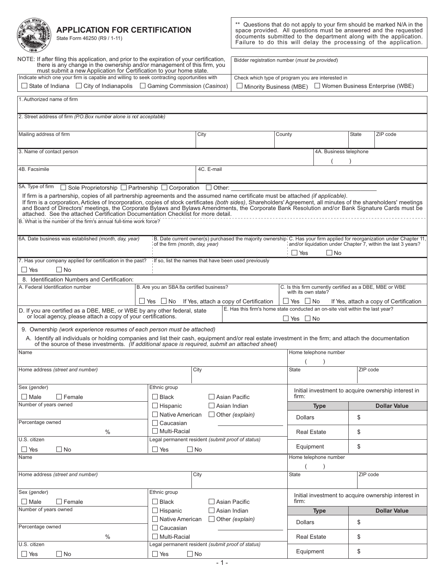**APPLICATION FOR CERTIFICATION** 

NOTE: If after filing this application, and prior to the expiration of your certification,

 $\Box$  State of Indiana  $\Box$  City of Indianapolis  $\Box$  Gaming Commission (Casinos)

must submit a new Application for Certification to your home state.<br>
Indicate which one your firm is capable and willing to seek contracting opportunities with

there is any change in the ownership and/or management of this firm, you



State Form 46250 (R9 / 1-11)

 $\star\star$ Questions that do not apply to your firm should be marked N/A in the space provided. All questions must be answered and the requested<br>documents submitted to the department along with the application.<br>Failure to do this will delay the processing of the application.

Bidder registration number (must be provided)

Check which type of program you are interested in

| $\Box$ Minority Business (MBE) | □ Women Business Enterprise (WBE) |
|--------------------------------|-----------------------------------|
|--------------------------------|-----------------------------------|

| 1. Authorized name of firm                                                                                                                                                                                                                                                                                                                                                                                                                                                                                                                                                                                    |                                                   |            |                                                                                                                         |                      |                                                          |              |                                                              |
|---------------------------------------------------------------------------------------------------------------------------------------------------------------------------------------------------------------------------------------------------------------------------------------------------------------------------------------------------------------------------------------------------------------------------------------------------------------------------------------------------------------------------------------------------------------------------------------------------------------|---------------------------------------------------|------------|-------------------------------------------------------------------------------------------------------------------------|----------------------|----------------------------------------------------------|--------------|--------------------------------------------------------------|
| 2. Street address of firm (P.O.Box number alone is not acceptable)                                                                                                                                                                                                                                                                                                                                                                                                                                                                                                                                            |                                                   |            |                                                                                                                         |                      |                                                          |              |                                                              |
| Mailing address of firm                                                                                                                                                                                                                                                                                                                                                                                                                                                                                                                                                                                       |                                                   | City       |                                                                                                                         | County               |                                                          | <b>State</b> | ZIP code                                                     |
| 3. Name of contact person                                                                                                                                                                                                                                                                                                                                                                                                                                                                                                                                                                                     |                                                   |            |                                                                                                                         |                      | 4A. Business telephone                                   |              |                                                              |
| 4B. Facsimile                                                                                                                                                                                                                                                                                                                                                                                                                                                                                                                                                                                                 |                                                   | 4C. E-mail |                                                                                                                         |                      |                                                          |              |                                                              |
| 5A. Type of firm<br>$\Box$ Sole Proprietorship $\Box$ Partnership $\Box$ Corporation $\Box$ Other:                                                                                                                                                                                                                                                                                                                                                                                                                                                                                                            |                                                   |            |                                                                                                                         |                      |                                                          |              |                                                              |
| If firm is a partnership, copies of all partnership agreements and the assumed name certificate must be attached (if applicable).<br>If firm is a corporation, Articles of Incorporation, copies of stock certificates (both sides), Shareholders' Agreement, all minutes of the shareholders' meetings<br>and Board of Directors' meetings, the Corporate Bylaws and Bylaws Amendments, the Corporate Bank Resolution and/or Bank Signature Cards must be attached. See the attached Certification Documentation Checklist for more deta<br>B. What is the number of the firm's annual full-time work force? |                                                   |            |                                                                                                                         |                      |                                                          |              |                                                              |
| 6A. Date business was established (month, day, year)                                                                                                                                                                                                                                                                                                                                                                                                                                                                                                                                                          | of the firm (month, day, year)                    |            | B. Date current owner(s) purchased the majority ownership C. Has your firm applied for reorganization under Chapter 11, |                      |                                                          |              | and/or liquidation under Chapter 7, within the last 3 years? |
| 7. Has your company applied for certification in the past?                                                                                                                                                                                                                                                                                                                                                                                                                                                                                                                                                    |                                                   |            | If so, list the names that have been used previously                                                                    | $\Box$ Yes           | ∐ No                                                     |              |                                                              |
| $\Box$ Yes<br>□ No                                                                                                                                                                                                                                                                                                                                                                                                                                                                                                                                                                                            |                                                   |            |                                                                                                                         |                      |                                                          |              |                                                              |
| 8. Identification Numbers and Certification:                                                                                                                                                                                                                                                                                                                                                                                                                                                                                                                                                                  |                                                   |            |                                                                                                                         |                      |                                                          |              |                                                              |
| A. Federal Identification number                                                                                                                                                                                                                                                                                                                                                                                                                                                                                                                                                                              | B. Are you an SBA 8a certified business?          |            |                                                                                                                         | with its own state?  | C. Is this firm currently certified as a DBE, MBE or WBE |              |                                                              |
|                                                                                                                                                                                                                                                                                                                                                                                                                                                                                                                                                                                                               | ∐ Yes ∐ No                                        |            | If Yes, attach a copy of Certification                                                                                  | $\Box$ Yes $\Box$ No |                                                          |              | If Yes, attach a copy of Certification                       |
| D. If you are certified as a DBE, MBE, or WBE by any other federal, state<br>or local agency, please attach a copy of your certifications.                                                                                                                                                                                                                                                                                                                                                                                                                                                                    |                                                   |            | E. Has this firm's home state conducted an on-site visit within the last year?                                          | ∐Yes ∐No             |                                                          |              |                                                              |
| 9. Ownership (work experience resumes of each person must be attached)<br>A. Identify all individuals or holding companies and list their cash, equipment and/or real estate investment in the firm; and attach the documentation<br>of the source of these investments. (If additional space is required, submit an attached sheet)                                                                                                                                                                                                                                                                          |                                                   |            |                                                                                                                         |                      |                                                          |              |                                                              |
| Name                                                                                                                                                                                                                                                                                                                                                                                                                                                                                                                                                                                                          |                                                   |            |                                                                                                                         |                      | Home telephone number                                    |              |                                                              |
| Home address (street and number)                                                                                                                                                                                                                                                                                                                                                                                                                                                                                                                                                                              |                                                   | City       |                                                                                                                         | <b>State</b>         |                                                          | ZIP code     |                                                              |
| Sex (gender)<br>l Female<br>$\Box$ Male                                                                                                                                                                                                                                                                                                                                                                                                                                                                                                                                                                       | Ethnic group<br>$\Box$ Black                      |            | Asian Pacific                                                                                                           | firm:                |                                                          |              | Initial investment to acquire ownership interest in          |
| Number of years owned                                                                                                                                                                                                                                                                                                                                                                                                                                                                                                                                                                                         | $\Box$ Hispanic                                   |            | Asian Indian                                                                                                            |                      | <b>Type</b>                                              |              | <b>Dollar Value</b>                                          |
|                                                                                                                                                                                                                                                                                                                                                                                                                                                                                                                                                                                                               | $\Box$ Native American                            |            | $\Box$ Other (explain)                                                                                                  | Dollars              |                                                          | \$           |                                                              |
| Percentage owned<br>$\%$                                                                                                                                                                                                                                                                                                                                                                                                                                                                                                                                                                                      | $\Box$ Caucasian<br>Multi-Racial                  |            |                                                                                                                         | <b>Real Estate</b>   |                                                          | \$           |                                                              |
| U.S. citizen                                                                                                                                                                                                                                                                                                                                                                                                                                                                                                                                                                                                  | Legal permanent resident (submit proof of status) |            |                                                                                                                         | Equipment            |                                                          | \$           |                                                              |
| $\Box$ No<br>$\Box$ Yes<br>Name                                                                                                                                                                                                                                                                                                                                                                                                                                                                                                                                                                               | $\Box$ Yes<br>$\Box$ No                           |            |                                                                                                                         |                      | Home telephone number                                    |              |                                                              |
|                                                                                                                                                                                                                                                                                                                                                                                                                                                                                                                                                                                                               |                                                   |            |                                                                                                                         |                      |                                                          |              |                                                              |
| Home address (street and number)                                                                                                                                                                                                                                                                                                                                                                                                                                                                                                                                                                              |                                                   | City       |                                                                                                                         | <b>State</b>         |                                                          | ZIP code     |                                                              |
| Sex (gender)                                                                                                                                                                                                                                                                                                                                                                                                                                                                                                                                                                                                  | Ethnic group                                      |            |                                                                                                                         |                      |                                                          |              | Initial investment to acquire ownership interest in          |
| $\Box$ Female<br>$\Box$ Male                                                                                                                                                                                                                                                                                                                                                                                                                                                                                                                                                                                  | $\Box$ Black                                      |            | $\Box$ Asian Pacific                                                                                                    | firm:                |                                                          |              |                                                              |
| Number of years owned                                                                                                                                                                                                                                                                                                                                                                                                                                                                                                                                                                                         | $\Box$ Hispanic                                   |            | $\Box$ Asian Indian                                                                                                     |                      | <b>Type</b>                                              |              | <b>Dollar Value</b>                                          |
| Percentage owned                                                                                                                                                                                                                                                                                                                                                                                                                                                                                                                                                                                              | $\Box$ Native American<br>$\Box$ Caucasian        |            | $\Box$ Other (explain)                                                                                                  | <b>Dollars</b>       |                                                          | \$           |                                                              |
| $\%$                                                                                                                                                                                                                                                                                                                                                                                                                                                                                                                                                                                                          | $\Box$ Multi-Racial                               |            |                                                                                                                         | <b>Real Estate</b>   |                                                          | \$           |                                                              |
| U.S. citizen                                                                                                                                                                                                                                                                                                                                                                                                                                                                                                                                                                                                  | Legal permanent resident (submit proof of status) |            |                                                                                                                         |                      |                                                          |              |                                                              |
| $\Box$ No<br>$\Box$ Yes                                                                                                                                                                                                                                                                                                                                                                                                                                                                                                                                                                                       | $\Box$ Yes                                        | $\Box$ No  |                                                                                                                         | Equipment            |                                                          | \$           |                                                              |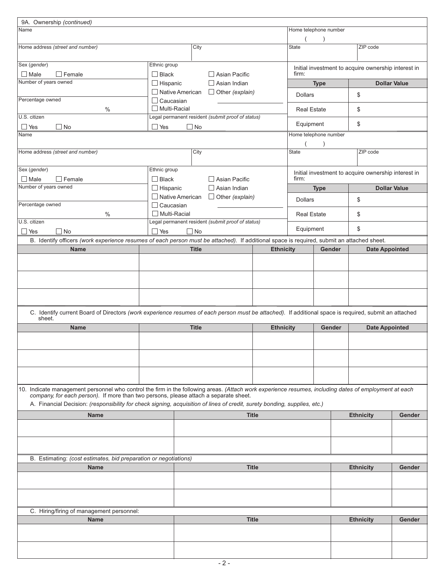| 9A. Ownership (continued)                                                                                                                                                                                                                     |                                         |           |              |                                                   |                  |                       |             |        |                                                     |                     |
|-----------------------------------------------------------------------------------------------------------------------------------------------------------------------------------------------------------------------------------------------|-----------------------------------------|-----------|--------------|---------------------------------------------------|------------------|-----------------------|-------------|--------|-----------------------------------------------------|---------------------|
| Name                                                                                                                                                                                                                                          |                                         |           |              |                                                   |                  | Home telephone number |             |        |                                                     |                     |
|                                                                                                                                                                                                                                               |                                         |           |              |                                                   |                  |                       |             |        |                                                     |                     |
| Home address (street and number)                                                                                                                                                                                                              |                                         |           | City         |                                                   |                  | <b>State</b>          |             |        | ZIP code                                            |                     |
| Sex (gender)<br>$\Box$ Male<br>$\Box$ Female                                                                                                                                                                                                  | Ethnic group<br>$\Box$ Black            |           |              | □ Asian Pacific                                   |                  | firm:                 |             |        | Initial investment to acquire ownership interest in |                     |
| Number of years owned                                                                                                                                                                                                                         | $\Box$ Hispanic                         |           |              | $\Box$ Asian Indian                               |                  |                       | <b>Type</b> |        |                                                     | <b>Dollar Value</b> |
| Percentage owned                                                                                                                                                                                                                              | □ Native American                       |           |              | $\Box$ Other (explain)                            |                  | <b>Dollars</b>        |             |        | \$                                                  |                     |
| $\%$                                                                                                                                                                                                                                          | $\Box$ Caucasian<br>$\Box$ Multi-Racial |           |              |                                                   |                  | <b>Real Estate</b>    |             |        | \$                                                  |                     |
| U.S. citizen                                                                                                                                                                                                                                  |                                         |           |              | Legal permanent resident (submit proof of status) |                  | Equipment             |             |        | \$                                                  |                     |
| $\Box$ No<br>$\Box$ Yes<br>Name                                                                                                                                                                                                               | $\Box$ Yes                              | $\Box$ No |              |                                                   |                  | Home telephone number |             |        |                                                     |                     |
|                                                                                                                                                                                                                                               |                                         |           |              |                                                   |                  |                       |             |        |                                                     |                     |
| Home address (street and number)                                                                                                                                                                                                              |                                         |           | City         |                                                   |                  | <b>State</b>          |             |        | ZIP code                                            |                     |
| Sex (gender)<br>$\Box$ Male<br>$\Box$ Female                                                                                                                                                                                                  | Ethnic group<br>$\Box$ Black            |           |              | $\Box$ Asian Pacific                              |                  | firm:                 |             |        | Initial investment to acquire ownership interest in |                     |
| Number of years owned                                                                                                                                                                                                                         | $\Box$ Hispanic                         |           |              | $\Box$ Asian Indian                               |                  |                       | <b>Type</b> |        |                                                     | <b>Dollar Value</b> |
|                                                                                                                                                                                                                                               | □ Native American                       |           |              | $\Box$ Other (explain)                            |                  | <b>Dollars</b>        |             |        | \$                                                  |                     |
| Percentage owned<br>$\%$                                                                                                                                                                                                                      | $\Box$ Caucasian<br>$\Box$ Multi-Racial |           |              |                                                   |                  | <b>Real Estate</b>    |             |        | \$                                                  |                     |
| U.S. citizen                                                                                                                                                                                                                                  |                                         |           |              | Legal permanent resident (submit proof of status) |                  | Equipment             |             |        | \$                                                  |                     |
| $\Box$ No<br><b>Nes</b><br>B. Identify officers (work experience resumes of each person must be attached). If additional space is required, submit an attached sheet.                                                                         | $\Box$ Yes                              | $\Box$ No |              |                                                   |                  |                       |             |        |                                                     |                     |
| <b>Name</b>                                                                                                                                                                                                                                   |                                         |           | <b>Title</b> |                                                   | <b>Ethnicity</b> |                       | Gender      |        | <b>Date Appointed</b>                               |                     |
|                                                                                                                                                                                                                                               |                                         |           |              |                                                   |                  |                       |             |        |                                                     |                     |
|                                                                                                                                                                                                                                               |                                         |           |              |                                                   |                  |                       |             |        |                                                     |                     |
|                                                                                                                                                                                                                                               |                                         |           |              |                                                   |                  |                       |             |        |                                                     |                     |
|                                                                                                                                                                                                                                               |                                         |           |              |                                                   |                  |                       |             |        |                                                     |                     |
| C. Identify current Board of Directors (work experience resumes of each person must be attached). If additional space is required, submit an attached<br>sheet.                                                                               |                                         |           |              |                                                   |                  |                       |             |        |                                                     |                     |
| <b>Name</b>                                                                                                                                                                                                                                   |                                         |           | <b>Title</b> |                                                   | <b>Ethnicity</b> |                       |             | Gender | <b>Date Appointed</b>                               |                     |
|                                                                                                                                                                                                                                               |                                         |           |              |                                                   |                  |                       |             |        |                                                     |                     |
|                                                                                                                                                                                                                                               |                                         |           |              |                                                   |                  |                       |             |        |                                                     |                     |
|                                                                                                                                                                                                                                               |                                         |           |              |                                                   |                  |                       |             |        |                                                     |                     |
|                                                                                                                                                                                                                                               |                                         |           |              |                                                   |                  |                       |             |        |                                                     |                     |
| 10. Indicate management personnel who control the firm in the following areas. (Attach work experience resumes, including dates of employment at each<br>company, for each person). If more than two persons, please attach a separate sheet. |                                         |           |              |                                                   |                  |                       |             |        |                                                     |                     |
| A. Financial Decision: (responsibility for check signing, acquisition of lines of credit, surety bonding, supplies, etc.)                                                                                                                     |                                         |           |              |                                                   |                  |                       |             |        |                                                     |                     |
| <b>Name</b>                                                                                                                                                                                                                                   |                                         |           |              | <b>Title</b>                                      |                  |                       |             |        | <b>Ethnicity</b>                                    | Gender              |
|                                                                                                                                                                                                                                               |                                         |           |              |                                                   |                  |                       |             |        |                                                     |                     |
|                                                                                                                                                                                                                                               |                                         |           |              |                                                   |                  |                       |             |        |                                                     |                     |
|                                                                                                                                                                                                                                               |                                         |           |              |                                                   |                  |                       |             |        |                                                     |                     |
| B. Estimating: (cost estimates, bid preparation or negotiations)<br><b>Name</b>                                                                                                                                                               |                                         |           |              | <b>Title</b>                                      |                  |                       |             |        | <b>Ethnicity</b>                                    | Gender              |
|                                                                                                                                                                                                                                               |                                         |           |              |                                                   |                  |                       |             |        |                                                     |                     |
|                                                                                                                                                                                                                                               |                                         |           |              |                                                   |                  |                       |             |        |                                                     |                     |
|                                                                                                                                                                                                                                               |                                         |           |              |                                                   |                  |                       |             |        |                                                     |                     |
| C. Hiring/firing of management personnel:<br><b>Name</b>                                                                                                                                                                                      |                                         |           |              | <b>Title</b>                                      |                  |                       |             |        | <b>Ethnicity</b>                                    | <b>Gender</b>       |
|                                                                                                                                                                                                                                               |                                         |           |              |                                                   |                  |                       |             |        |                                                     |                     |
|                                                                                                                                                                                                                                               |                                         |           |              |                                                   |                  |                       |             |        |                                                     |                     |
|                                                                                                                                                                                                                                               |                                         |           |              |                                                   |                  |                       |             |        |                                                     |                     |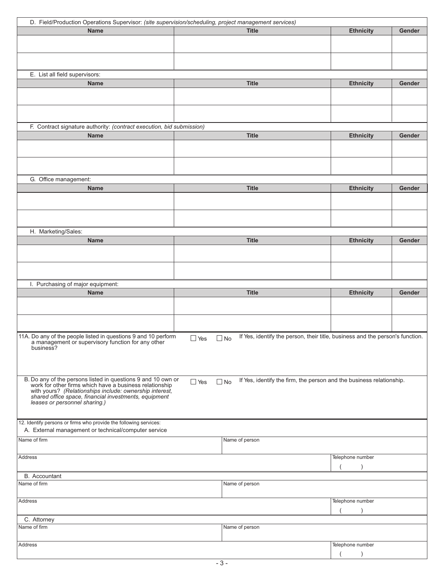| D. Field/Production Operations Supervisor: (site supervision/scheduling, project management services)                                                                                                                          |                                                                                                          |                  |        |
|--------------------------------------------------------------------------------------------------------------------------------------------------------------------------------------------------------------------------------|----------------------------------------------------------------------------------------------------------|------------------|--------|
| <b>Name</b>                                                                                                                                                                                                                    | <b>Title</b>                                                                                             | <b>Ethnicity</b> | Gender |
|                                                                                                                                                                                                                                |                                                                                                          |                  |        |
|                                                                                                                                                                                                                                |                                                                                                          |                  |        |
|                                                                                                                                                                                                                                |                                                                                                          |                  |        |
|                                                                                                                                                                                                                                |                                                                                                          |                  |        |
| E. List all field supervisors:                                                                                                                                                                                                 |                                                                                                          |                  |        |
| <b>Name</b>                                                                                                                                                                                                                    | <b>Title</b>                                                                                             | <b>Ethnicity</b> | Gender |
|                                                                                                                                                                                                                                |                                                                                                          |                  |        |
|                                                                                                                                                                                                                                |                                                                                                          |                  |        |
|                                                                                                                                                                                                                                |                                                                                                          |                  |        |
|                                                                                                                                                                                                                                |                                                                                                          |                  |        |
| F. Contract signature authority: (contract execution, bid submission)                                                                                                                                                          |                                                                                                          |                  |        |
| <b>Name</b>                                                                                                                                                                                                                    | <b>Title</b>                                                                                             | <b>Ethnicity</b> | Gender |
|                                                                                                                                                                                                                                |                                                                                                          |                  |        |
|                                                                                                                                                                                                                                |                                                                                                          |                  |        |
|                                                                                                                                                                                                                                |                                                                                                          |                  |        |
|                                                                                                                                                                                                                                |                                                                                                          |                  |        |
| G. Office management:                                                                                                                                                                                                          |                                                                                                          |                  |        |
| <b>Name</b>                                                                                                                                                                                                                    | <b>Title</b>                                                                                             | <b>Ethnicity</b> | Gender |
|                                                                                                                                                                                                                                |                                                                                                          |                  |        |
|                                                                                                                                                                                                                                |                                                                                                          |                  |        |
|                                                                                                                                                                                                                                |                                                                                                          |                  |        |
|                                                                                                                                                                                                                                |                                                                                                          |                  |        |
| H. Marketing/Sales:                                                                                                                                                                                                            |                                                                                                          |                  |        |
| <b>Name</b>                                                                                                                                                                                                                    | <b>Title</b>                                                                                             | <b>Ethnicity</b> | Gender |
|                                                                                                                                                                                                                                |                                                                                                          |                  |        |
|                                                                                                                                                                                                                                |                                                                                                          |                  |        |
|                                                                                                                                                                                                                                |                                                                                                          |                  |        |
|                                                                                                                                                                                                                                |                                                                                                          |                  |        |
| I. Purchasing of major equipment:                                                                                                                                                                                              |                                                                                                          |                  |        |
| <b>Name</b>                                                                                                                                                                                                                    | <b>Title</b>                                                                                             | <b>Ethnicity</b> | Gender |
|                                                                                                                                                                                                                                |                                                                                                          |                  |        |
|                                                                                                                                                                                                                                |                                                                                                          |                  |        |
|                                                                                                                                                                                                                                |                                                                                                          |                  |        |
|                                                                                                                                                                                                                                |                                                                                                          |                  |        |
| 11A. Do any of the people listed in questions 9 and 10 perform<br>a management or supervisory function for any other                                                                                                           | If Yes, identify the person, their title, business and the person's function.<br>$\Box$ Yes<br>$\Box$ No |                  |        |
| business?                                                                                                                                                                                                                      |                                                                                                          |                  |        |
|                                                                                                                                                                                                                                |                                                                                                          |                  |        |
|                                                                                                                                                                                                                                |                                                                                                          |                  |        |
|                                                                                                                                                                                                                                |                                                                                                          |                  |        |
|                                                                                                                                                                                                                                | If Yes, identify the firm, the person and the business relationship.<br>$\Box$ Yes<br>$\Box$ No          |                  |        |
| B. Do any of the persons listed in questions 9 and 10 own or work for other firms which have a business relationship with yours? (Relationships include: ownership interest, shared office space, financial investments, equip |                                                                                                          |                  |        |
| leases or personnel sharing.)                                                                                                                                                                                                  |                                                                                                          |                  |        |
|                                                                                                                                                                                                                                |                                                                                                          |                  |        |
|                                                                                                                                                                                                                                |                                                                                                          |                  |        |
| 12. Identify persons or firms who provide the following services:<br>A. External management or technical/computer service                                                                                                      |                                                                                                          |                  |        |
|                                                                                                                                                                                                                                |                                                                                                          |                  |        |
| Name of firm                                                                                                                                                                                                                   | Name of person                                                                                           |                  |        |
|                                                                                                                                                                                                                                |                                                                                                          |                  |        |
| Address                                                                                                                                                                                                                        |                                                                                                          | Telephone number |        |
|                                                                                                                                                                                                                                |                                                                                                          |                  |        |
| <b>B.</b> Accountant                                                                                                                                                                                                           |                                                                                                          |                  |        |
| Name of firm                                                                                                                                                                                                                   | Name of person                                                                                           |                  |        |
|                                                                                                                                                                                                                                |                                                                                                          |                  |        |
| Address                                                                                                                                                                                                                        |                                                                                                          | Telephone number |        |
|                                                                                                                                                                                                                                |                                                                                                          |                  |        |
|                                                                                                                                                                                                                                |                                                                                                          |                  |        |
| C. Attorney                                                                                                                                                                                                                    |                                                                                                          |                  |        |
| Name of firm                                                                                                                                                                                                                   | Name of person                                                                                           |                  |        |
|                                                                                                                                                                                                                                |                                                                                                          |                  |        |
| Address                                                                                                                                                                                                                        |                                                                                                          | Telephone number |        |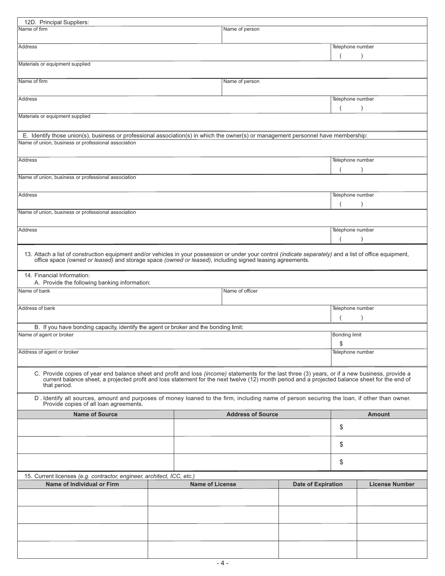| 12D. Principal Suppliers:                                                                                                                                                                                                                                                                                            |  |                        |                 |                           |                            |                       |  |
|----------------------------------------------------------------------------------------------------------------------------------------------------------------------------------------------------------------------------------------------------------------------------------------------------------------------|--|------------------------|-----------------|---------------------------|----------------------------|-----------------------|--|
| Name of firm<br>Name of person                                                                                                                                                                                                                                                                                       |  |                        |                 |                           |                            |                       |  |
| Address                                                                                                                                                                                                                                                                                                              |  | Telephone number       |                 |                           |                            |                       |  |
| Materials or equipment supplied                                                                                                                                                                                                                                                                                      |  |                        |                 |                           |                            |                       |  |
| Name of firm                                                                                                                                                                                                                                                                                                         |  |                        | Name of person  |                           |                            |                       |  |
| Telephone number<br>Address                                                                                                                                                                                                                                                                                          |  |                        |                 |                           |                            |                       |  |
| Materials or equipment supplied                                                                                                                                                                                                                                                                                      |  |                        |                 |                           |                            |                       |  |
|                                                                                                                                                                                                                                                                                                                      |  |                        |                 |                           |                            |                       |  |
| E. Identify those union(s), business or professional association(s) in which the owner(s) or management personnel have membership:<br>Name of union, business or professional association                                                                                                                            |  |                        |                 |                           |                            |                       |  |
| Address                                                                                                                                                                                                                                                                                                              |  |                        |                 |                           | Telephone number           |                       |  |
| Name of union, business or professional association                                                                                                                                                                                                                                                                  |  |                        |                 |                           |                            |                       |  |
| Address                                                                                                                                                                                                                                                                                                              |  |                        |                 |                           | Telephone number           |                       |  |
| Name of union, business or professional association                                                                                                                                                                                                                                                                  |  |                        |                 |                           |                            |                       |  |
|                                                                                                                                                                                                                                                                                                                      |  |                        |                 |                           |                            |                       |  |
| <b>Address</b>                                                                                                                                                                                                                                                                                                       |  |                        |                 |                           | Telephone number           |                       |  |
| 13. Attach a list of construction equipment and/or vehicles in your possession or under your control (indicate separately) and a list of office equipment, office space (owned or leased) and storage space (owned or leased),                                                                                       |  |                        |                 |                           |                            |                       |  |
| 14. Financial Information:<br>A. Provide the following banking information:                                                                                                                                                                                                                                          |  |                        |                 |                           |                            |                       |  |
| Name of bank                                                                                                                                                                                                                                                                                                         |  |                        | Name of officer |                           |                            |                       |  |
| Address of bank                                                                                                                                                                                                                                                                                                      |  |                        |                 |                           | Telephone number           |                       |  |
| B. If you have bonding capacity, identify the agent or broker and the bonding limit:                                                                                                                                                                                                                                 |  |                        |                 |                           |                            |                       |  |
| Name of agent or broker                                                                                                                                                                                                                                                                                              |  |                        |                 |                           | <b>Bonding limit</b><br>\$ |                       |  |
| Address of agent or broker                                                                                                                                                                                                                                                                                           |  |                        |                 |                           | Telephone number           |                       |  |
| C. Provide copies of year end balance sheet and profit and loss (income) statements for the last three (3) years, or if a new business, provide a<br>current balance sheet, a projected profit and loss statement for the next twelve (12) month period and a projected balance sheet for the end of<br>that period. |  |                        |                 |                           |                            |                       |  |
| D. Identify all sources, amount and purposes of money loaned to the firm, including name of person securing the loan, if other than owner.<br>Provide copies of all loan agreements.                                                                                                                                 |  |                        |                 |                           |                            |                       |  |
| <b>Name of Source</b><br><b>Address of Source</b>                                                                                                                                                                                                                                                                    |  |                        |                 |                           | <b>Amount</b>              |                       |  |
|                                                                                                                                                                                                                                                                                                                      |  |                        |                 | \$                        |                            |                       |  |
|                                                                                                                                                                                                                                                                                                                      |  |                        |                 | \$                        |                            |                       |  |
|                                                                                                                                                                                                                                                                                                                      |  |                        |                 | \$                        |                            |                       |  |
| 15. Current licenses (e.g. contractor, engineer, architect, ICC, etc.)                                                                                                                                                                                                                                               |  |                        |                 |                           |                            |                       |  |
| Name of Individual or Firm                                                                                                                                                                                                                                                                                           |  | <b>Name of License</b> |                 | <b>Date of Expiration</b> |                            | <b>License Number</b> |  |
|                                                                                                                                                                                                                                                                                                                      |  |                        |                 |                           |                            |                       |  |
|                                                                                                                                                                                                                                                                                                                      |  |                        |                 |                           |                            |                       |  |
|                                                                                                                                                                                                                                                                                                                      |  |                        |                 |                           |                            |                       |  |
|                                                                                                                                                                                                                                                                                                                      |  |                        |                 |                           |                            |                       |  |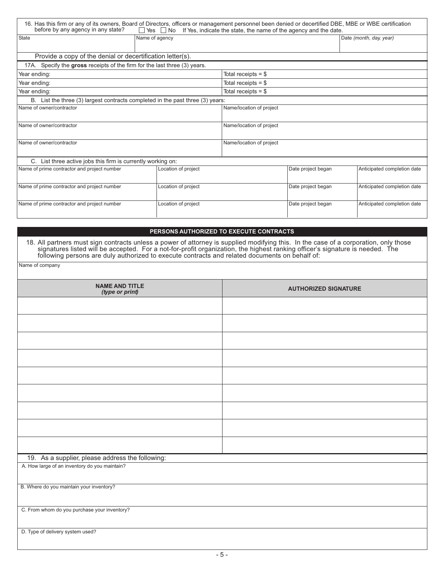| 16. Has this firm or any of its owners, Board of Directors, officers or management personnel been denied or decertified DBE, MBE or WBE certification<br>before by any agency in any state? | $\Box$ Yes $\Box$ No | If Yes, indicate the state, the name of the agency and the date. |                    |                             |  |  |
|---------------------------------------------------------------------------------------------------------------------------------------------------------------------------------------------|----------------------|------------------------------------------------------------------|--------------------|-----------------------------|--|--|
| State                                                                                                                                                                                       | Name of agency       |                                                                  |                    | Date (month, day, year)     |  |  |
|                                                                                                                                                                                             |                      |                                                                  |                    |                             |  |  |
| Provide a copy of the denial or decertification letter(s).                                                                                                                                  |                      |                                                                  |                    |                             |  |  |
| 17A. Specify the gross receipts of the firm for the last three (3) years.                                                                                                                   |                      |                                                                  |                    |                             |  |  |
| Year ending:                                                                                                                                                                                |                      | Total receipts $=$ \$                                            |                    |                             |  |  |
| Year ending:                                                                                                                                                                                |                      | Total receipts $=$ \$                                            |                    |                             |  |  |
| Year ending:                                                                                                                                                                                |                      | Total receipts $=$ \$                                            |                    |                             |  |  |
| B. List the three (3) largest contracts completed in the past three (3) years:                                                                                                              |                      |                                                                  |                    |                             |  |  |
| Name of owner/contractor                                                                                                                                                                    |                      | Name/location of project                                         |                    |                             |  |  |
|                                                                                                                                                                                             |                      |                                                                  |                    |                             |  |  |
| Name of owner/contractor                                                                                                                                                                    |                      | Name/location of project                                         |                    |                             |  |  |
|                                                                                                                                                                                             |                      |                                                                  |                    |                             |  |  |
| Name of owner/contractor                                                                                                                                                                    |                      | Name/location of project                                         |                    |                             |  |  |
|                                                                                                                                                                                             |                      |                                                                  |                    |                             |  |  |
| C. List three active jobs this firm is currently working on:                                                                                                                                |                      |                                                                  |                    |                             |  |  |
| Name of prime contractor and project number                                                                                                                                                 | Location of project  |                                                                  | Date project began | Anticipated completion date |  |  |
|                                                                                                                                                                                             |                      |                                                                  |                    |                             |  |  |
| Name of prime contractor and project number                                                                                                                                                 | Location of project  |                                                                  | Date project began | Anticipated completion date |  |  |
|                                                                                                                                                                                             |                      |                                                                  |                    |                             |  |  |
| Name of prime contractor and project number                                                                                                                                                 | Location of project  | Date project began                                               |                    | Anticipated completion date |  |  |
|                                                                                                                                                                                             |                      |                                                                  |                    |                             |  |  |

#### PERSONS AUTHORIZED TO EXECUTE CONTRACTS

18. All partners must sign contracts unless a power of attorney is supplied modifying this. In the case of a corporation, only those signatures listed will be accepted. For a not-for-profit organization, the highest rankin

Name of company

| <b>NAME AND TITLE</b><br>(type or print)         | <b>AUTHORIZED SIGNATURE</b> |
|--------------------------------------------------|-----------------------------|
|                                                  |                             |
|                                                  |                             |
|                                                  |                             |
|                                                  |                             |
|                                                  |                             |
|                                                  |                             |
|                                                  |                             |
|                                                  |                             |
|                                                  |                             |
| 19. As a supplier, please address the following: |                             |
| A. How large of an inventory do you maintain?    |                             |
| B. Where do you maintain your inventory?         |                             |
| C. From whom do you purchase your inventory?     |                             |
|                                                  |                             |
| D. Type of delivery system used?                 |                             |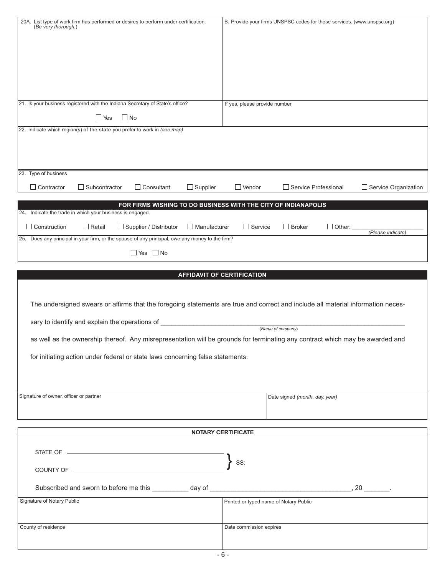| (Be very thorough.)                                       |                                                | 20A. List type of work firm has performed or desires to perform under certification.                                             |                     |                                        | B. Provide your firms UNSPSC codes for these services. (www.unspsc.org) |               |                             |
|-----------------------------------------------------------|------------------------------------------------|----------------------------------------------------------------------------------------------------------------------------------|---------------------|----------------------------------------|-------------------------------------------------------------------------|---------------|-----------------------------|
|                                                           |                                                |                                                                                                                                  |                     |                                        |                                                                         |               |                             |
|                                                           |                                                |                                                                                                                                  |                     |                                        |                                                                         |               |                             |
|                                                           |                                                |                                                                                                                                  |                     |                                        |                                                                         |               |                             |
|                                                           |                                                |                                                                                                                                  |                     |                                        |                                                                         |               |                             |
|                                                           |                                                |                                                                                                                                  |                     |                                        |                                                                         |               |                             |
|                                                           |                                                |                                                                                                                                  |                     |                                        |                                                                         |               |                             |
|                                                           |                                                | 21. Is your business registered with the Indiana Secretary of State's office?                                                    |                     | If yes, please provide number          |                                                                         |               |                             |
|                                                           | $\Box$ Yes                                     | $\Box$ No                                                                                                                        |                     |                                        |                                                                         |               |                             |
|                                                           |                                                | 22. Indicate which region(s) of the state you prefer to work in (see map)                                                        |                     |                                        |                                                                         |               |                             |
|                                                           |                                                |                                                                                                                                  |                     |                                        |                                                                         |               |                             |
|                                                           |                                                |                                                                                                                                  |                     |                                        |                                                                         |               |                             |
| 23. Type of business                                      |                                                |                                                                                                                                  |                     |                                        |                                                                         |               |                             |
|                                                           |                                                |                                                                                                                                  |                     |                                        |                                                                         |               |                             |
| Contractor                                                | $\Box$ Subcontractor                           | $\Box$ Consultant                                                                                                                | $\Box$ Supplier     | $\Box$ Vendor                          | Service Professional                                                    |               | $\Box$ Service Organization |
|                                                           |                                                | FOR FIRMS WISHING TO DO BUSINESS WITH THE CITY OF INDIANAPOLIS                                                                   |                     |                                        |                                                                         |               |                             |
| 24. Indicate the trade in which your business is engaged. |                                                |                                                                                                                                  |                     |                                        |                                                                         |               |                             |
| $\Box$ Construction                                       | $\Box$ Retail                                  | Supplier / Distributor                                                                                                           | $\Box$ Manufacturer | $\Box$ Service                         | $\Box$ Broker                                                           | $\Box$ Other: | (Please indicate)           |
|                                                           |                                                | 25. Does any principal in your firm, or the spouse of any principal, owe any money to the firm?                                  |                     |                                        |                                                                         |               |                             |
|                                                           |                                                | $\Box$ Yes $\Box$ No                                                                                                             |                     |                                        |                                                                         |               |                             |
|                                                           |                                                |                                                                                                                                  |                     |                                        |                                                                         |               |                             |
|                                                           |                                                |                                                                                                                                  |                     | <b>AFFIDAVIT OF CERTIFICATION</b>      |                                                                         |               |                             |
|                                                           |                                                |                                                                                                                                  |                     |                                        |                                                                         |               |                             |
|                                                           |                                                | The undersigned swears or affirms that the foregoing statements are true and correct and include all material information neces- |                     |                                        |                                                                         |               |                             |
|                                                           |                                                |                                                                                                                                  |                     |                                        |                                                                         |               |                             |
|                                                           | sary to identify and explain the operations of |                                                                                                                                  |                     |                                        | (Name of company)                                                       |               |                             |
|                                                           |                                                | as well as the ownership thereof. Any misrepresentation will be grounds for terminating any contract which may be awarded and    |                     |                                        |                                                                         |               |                             |
|                                                           |                                                | for initiating action under federal or state laws concerning false statements.                                                   |                     |                                        |                                                                         |               |                             |
|                                                           |                                                |                                                                                                                                  |                     |                                        |                                                                         |               |                             |
|                                                           |                                                |                                                                                                                                  |                     |                                        |                                                                         |               |                             |
|                                                           |                                                |                                                                                                                                  |                     |                                        |                                                                         |               |                             |
| Signature of owner, officer or partner                    |                                                |                                                                                                                                  |                     |                                        | Date signed (month, day, year)                                          |               |                             |
|                                                           |                                                |                                                                                                                                  |                     |                                        |                                                                         |               |                             |
|                                                           |                                                |                                                                                                                                  |                     |                                        |                                                                         |               |                             |
|                                                           |                                                |                                                                                                                                  |                     | <b>NOTARY CERTIFICATE</b>              |                                                                         |               |                             |
|                                                           |                                                |                                                                                                                                  |                     |                                        |                                                                         |               |                             |
|                                                           |                                                |                                                                                                                                  |                     | SS:                                    |                                                                         |               |                             |
|                                                           |                                                | COUNTY OF <u>_________________________________</u>                                                                               |                     |                                        |                                                                         |               |                             |
|                                                           |                                                |                                                                                                                                  |                     |                                        |                                                                         |               |                             |
| Signature of Notary Public                                |                                                |                                                                                                                                  |                     | Printed or typed name of Notary Public |                                                                         |               |                             |
|                                                           |                                                |                                                                                                                                  |                     |                                        |                                                                         |               |                             |
|                                                           |                                                |                                                                                                                                  |                     |                                        |                                                                         |               |                             |
| County of residence                                       |                                                |                                                                                                                                  |                     | Date commission expires                |                                                                         |               |                             |
|                                                           |                                                |                                                                                                                                  |                     |                                        |                                                                         |               |                             |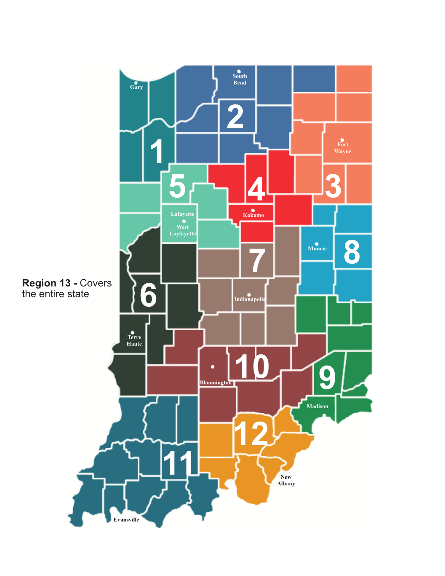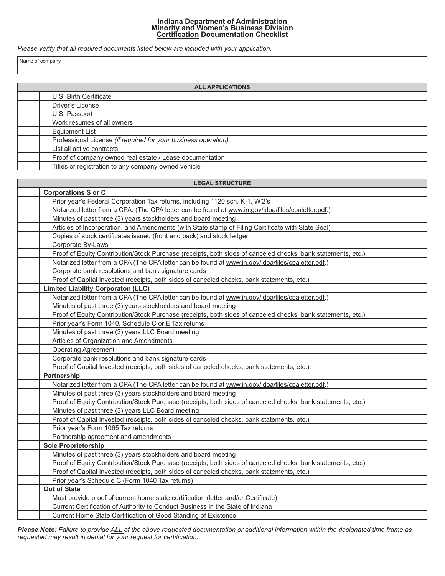# **Indiana Department of Administration<br>Minority and Women's Business Division<br>Certification Documentation Checklist**

Please verify that all required documents listed below are included with your application.

Name of company

| <b>ALL APPLICATIONS</b>                                        |  |  |  |
|----------------------------------------------------------------|--|--|--|
| U.S. Birth Certificate                                         |  |  |  |
| Driver's License                                               |  |  |  |
| U.S. Passport                                                  |  |  |  |
| Work resumes of all owners                                     |  |  |  |
| Equipment List                                                 |  |  |  |
| Professional License (if required for your business operation) |  |  |  |
| List all active contracts                                      |  |  |  |
| Proof of company owned real estate / Lease documentation       |  |  |  |
| Titles or registration to any company owned vehicle            |  |  |  |

| <b>LEGAL STRUCTURE</b>                                                                                       |
|--------------------------------------------------------------------------------------------------------------|
| <b>Corporations S or C</b>                                                                                   |
| Prior year's Federal Corporation Tax returns, including 1120 sch. K-1, W'2's                                 |
| Notarized letter from a CPA. (The CPA letter can be found at www.in.gov/idoa/files/cpaletter.pdf.)           |
| Minutes of past three (3) years stockholders and board meeting                                               |
| Articles of Incorporation, and Amendments (with State stamp of Filing Certificate with State Seal)           |
| Copies of stock certificates issued (front and back) and stock ledger                                        |
| Corporate By-Laws                                                                                            |
| Proof of Equity Contribution/Stock Purchase (receipts, both sides of canceled checks, bank statements, etc.) |
| Notarized letter from a CPA (The CPA letter can be found at www.in.gov/idoa/files/cpaletter.pdf.)            |
| Corporate bank resolutions and bank signature cards                                                          |
| Proof of Capital Invested (receipts, both sides of canceled checks, bank statements, etc.)                   |
| <b>Limited Liability Corporaton (LLC)</b>                                                                    |
| Notarized letter from a CPA (The CPA letter can be found at www.in.gov/idoa/files/cpaletter.pdf.)            |
| Minutes of past three (3) years stockholders and board meeting                                               |
| Proof of Equity Contribution/Stock Purchase (receipts, both sides of canceled checks, bank statements, etc.) |
| Prior year's Form 1040, Schedule C or E Tax returns                                                          |
| Minutes of past three (3) years LLC Board meeting                                                            |
| Articles of Organization and Amendments                                                                      |
| <b>Operating Agreement</b>                                                                                   |
| Corporate bank resolutions and bank signature cards                                                          |
| Proof of Capital Invested (receipts, both sides of canceled checks, bank statements, etc.)                   |
| Partnership                                                                                                  |
| Notarized letter from a CPA (The CPA letter can be found at www.in.gov/idoa/files/cpaletter.pdf.)            |
| Minutes of past three (3) years stockholders and board meeting                                               |
| Proof of Equity Contribution/Stock Purchase (receipts, both sides of canceled checks, bank statements, etc.) |
| Minutes of past three (3) years LLC Board meeting                                                            |
| Proof of Capital Invested (receipts, both sides of canceled checks, bank statements, etc.)                   |
| Prior year's Form 1065 Tax returns                                                                           |
| Partnership agreement and amendments                                                                         |
| <b>Sole Proprietorship</b>                                                                                   |
| Minutes of past three (3) years stockholders and board meeting                                               |
| Proof of Equity Contribution/Stock Purchase (receipts, both sides of canceled checks, bank statements, etc.) |
| Proof of Capital Invested (receipts, both sides of canceled checks, bank statements, etc.)                   |
| Prior year's Schedule C (Form 1040 Tax returns)                                                              |
| <b>Out of State</b>                                                                                          |
| Must provide proof of current home state certification (letter and/or Certificate)                           |
| Current Certification of Authority to Conduct Business in the State of Indiana                               |
| Current Home State Certification of Good Standing of Existence                                               |

Please Note: Failure to provide ALL of the above requested documentation or additional information within the designated time frame as requested may result in denial for your request for certification.